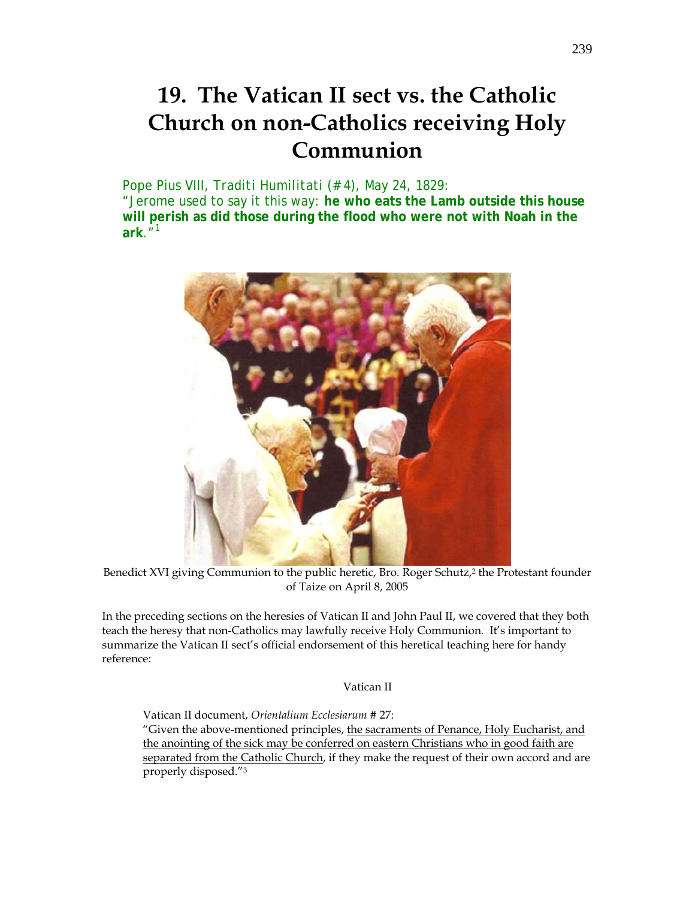# **19. The Vatican II sect vs. the Catholic Church on non-Catholics receiving Holy Communion**

# Pope Pius VIII, *Traditi Humilitati* (# 4), May 24, 1829:

"Jerome used to say it this way: **he who eats the Lamb outside this house will perish as did those during the flood who were not with Noah in the ark**."<sup>1</sup>



Benedict XVI giving Communion to the public heretic, Bro. Roger Schutz,<sup>2</sup> the Protestant founder of Taize on April 8, 2005

In the preceding sections on the heresies of Vatican II and John Paul II, we covered that they both teach the heresy that non-Catholics may lawfully receive Holy Communion. It's important to summarize the Vatican II sect's official endorsement of this heretical teaching here for handy reference:

Vatican II

Vatican II document, *Orientalium Ecclesiarum* # 27: "Given the above-mentioned principles, the sacraments of Penance, Holy Eucharist, and

the anointing of the sick may be conferred on eastern Christians who in good faith are separated from the Catholic Church, if they make the request of their own accord and are properly disposed."3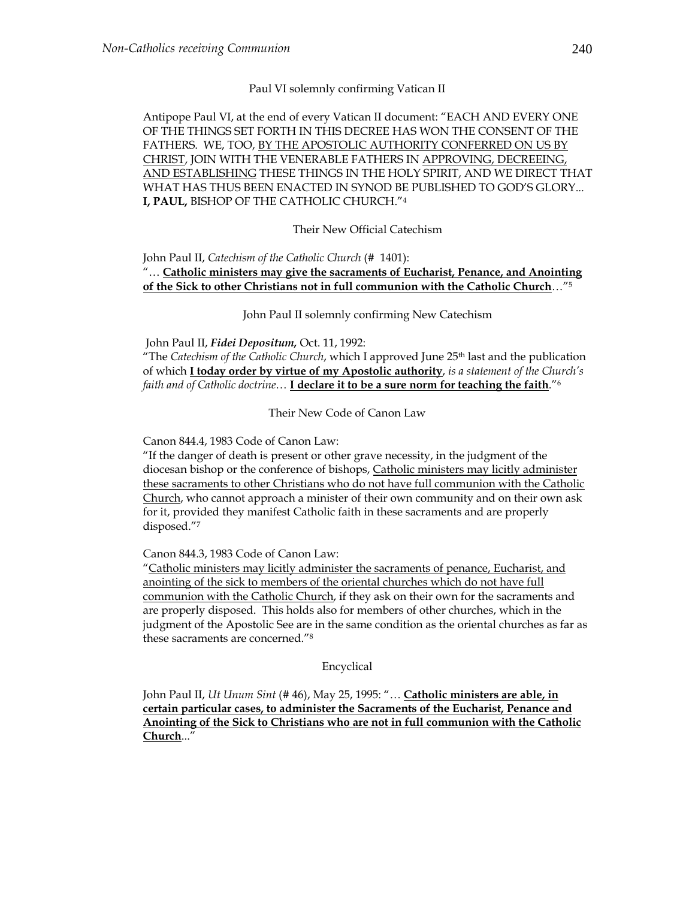### Paul VI solemnly confirming Vatican II

Antipope Paul VI, at the end of every Vatican II document: "EACH AND EVERY ONE OF THE THINGS SET FORTH IN THIS DECREE HAS WON THE CONSENT OF THE FATHERS. WE, TOO, BY THE APOSTOLIC AUTHORITY CONFERRED ON US BY CHRIST, JOIN WITH THE VENERABLE FATHERS IN APPROVING, DECREEING, AND ESTABLISHING THESE THINGS IN THE HOLY SPIRIT, AND WE DIRECT THAT WHAT HAS THUS BEEN ENACTED IN SYNOD BE PUBLISHED TO GOD'S GLORY... **I, PAUL,** BISHOP OF THE CATHOLIC CHURCH."4

### Their New Official Catechism

# John Paul II, *Catechism of the Catholic Church* (# 1401): "… **Catholic ministers may give the sacraments of Eucharist, Penance, and Anointing of the Sick to other Christians not in full communion with the Catholic Church**…"5

John Paul II solemnly confirming New Catechism

# John Paul II, *Fidei Depositum,* Oct. 11, 1992:

"The *Catechism of the Catholic Church*, which I approved June 25th last and the publication of which **I today order by virtue of my Apostolic authority**, *is a statement of the Church's faith and of Catholic doctrine*… **I declare it to be a sure norm for teaching the faith**."6

Their New Code of Canon Law

Canon 844.4, 1983 Code of Canon Law:

"If the danger of death is present or other grave necessity, in the judgment of the diocesan bishop or the conference of bishops, Catholic ministers may licitly administer these sacraments to other Christians who do not have full communion with the Catholic Church, who cannot approach a minister of their own community and on their own ask for it, provided they manifest Catholic faith in these sacraments and are properly disposed."7

Canon 844.3, 1983 Code of Canon Law:

"Catholic ministers may licitly administer the sacraments of penance, Eucharist, and anointing of the sick to members of the oriental churches which do not have full communion with the Catholic Church, if they ask on their own for the sacraments and are properly disposed. This holds also for members of other churches, which in the judgment of the Apostolic See are in the same condition as the oriental churches as far as these sacraments are concerned."8

Encyclical

John Paul II, *Ut Unum Sint* (# 46), May 25, 1995: "… **Catholic ministers are able, in certain particular cases, to administer the Sacraments of the Eucharist, Penance and Anointing of the Sick to Christians who are not in full communion with the Catholic Church**..."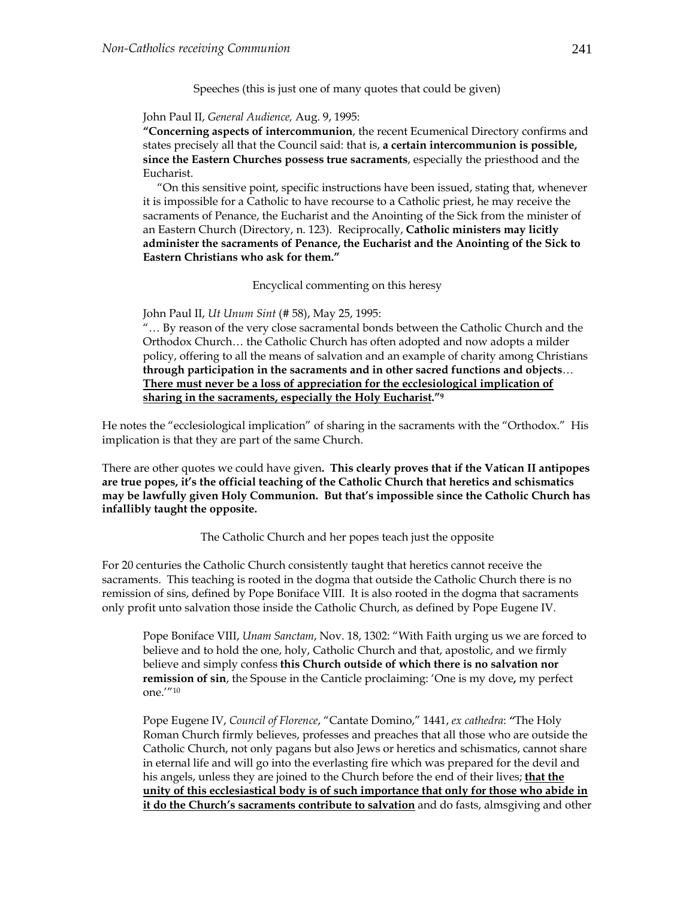Speeches (this is just one of many quotes that could be given)

#### John Paul II, *General Audience,* Aug. 9, 1995:

**"Concerning aspects of intercommunion**, the recent Ecumenical Directory confirms and states precisely all that the Council said: that is, **a certain intercommunion is possible, since the Eastern Churches possess true sacraments**, especially the priesthood and the Eucharist.

 "On this sensitive point, specific instructions have been issued, stating that, whenever it is impossible for a Catholic to have recourse to a Catholic priest, he may receive the sacraments of Penance, the Eucharist and the Anointing of the Sick from the minister of an Eastern Church (Directory, n. 123). Reciprocally, **Catholic ministers may licitly administer the sacraments of Penance, the Eucharist and the Anointing of the Sick to Eastern Christians who ask for them."** 

Encyclical commenting on this heresy

John Paul II, *Ut Unum Sint* (# 58), May 25, 1995:

"… By reason of the very close sacramental bonds between the Catholic Church and the Orthodox Church… the Catholic Church has often adopted and now adopts a milder policy, offering to all the means of salvation and an example of charity among Christians **through participation in the sacraments and in other sacred functions and objects**… **There must never be a loss of appreciation for the ecclesiological implication of sharing in the sacraments, especially the Holy Eucharist."9**

He notes the "ecclesiological implication" of sharing in the sacraments with the "Orthodox." His implication is that they are part of the same Church.

There are other quotes we could have given**. This clearly proves that if the Vatican II antipopes are true popes, it's the official teaching of the Catholic Church that heretics and schismatics may be lawfully given Holy Communion. But that's impossible since the Catholic Church has infallibly taught the opposite.** 

The Catholic Church and her popes teach just the opposite

For 20 centuries the Catholic Church consistently taught that heretics cannot receive the sacraments. This teaching is rooted in the dogma that outside the Catholic Church there is no remission of sins, defined by Pope Boniface VIII. It is also rooted in the dogma that sacraments only profit unto salvation those inside the Catholic Church, as defined by Pope Eugene IV.

Pope Boniface VIII, *Unam Sanctam*, Nov. 18, 1302: "With Faith urging us we are forced to believe and to hold the one, holy, Catholic Church and that, apostolic, and we firmly believe and simply confess **this Church outside of which there is no salvation nor remission of sin**, the Spouse in the Canticle proclaiming: 'One is my dove**,** my perfect one.'"10

Pope Eugene IV, *Council of Florence*, "Cantate Domino," 1441, *ex cathedra*: *"*The Holy Roman Church firmly believes, professes and preaches that all those who are outside the Catholic Church, not only pagans but also Jews or heretics and schismatics, cannot share in eternal life and will go into the everlasting fire which was prepared for the devil and his angels, unless they are joined to the Church before the end of their lives; **that the unity of this ecclesiastical body is of such importance that only for those who abide in it do the Church's sacraments contribute to salvation** and do fasts, almsgiving and other